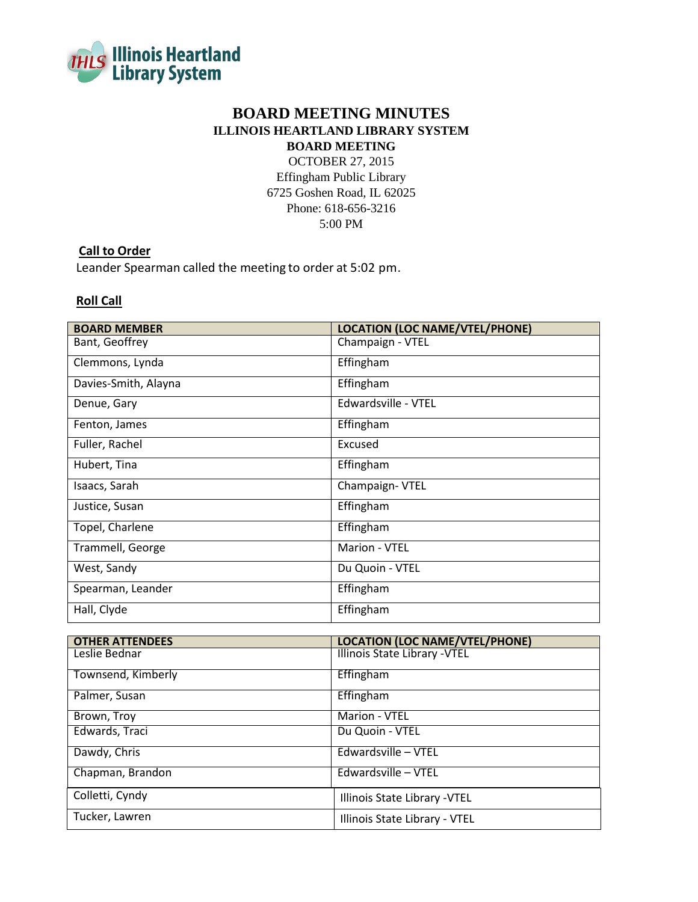

# **BOARD MEETING MINUTES ILLINOIS HEARTLAND LIBRARY SYSTEM BOARD MEETING**

OCTOBER 27, 2015

Effingham Public Library 6725 Goshen Road, IL 62025 Phone: 618-656-3216 5:00 PM

# **Call to Order**

Leander Spearman called the meeting to order at 5:02 pm.

## **Roll Call**

| <b>BOARD MEMBER</b>  | <b>LOCATION (LOC NAME/VTEL/PHONE)</b> |
|----------------------|---------------------------------------|
| Bant, Geoffrey       | Champaign - VTEL                      |
| Clemmons, Lynda      | Effingham                             |
| Davies-Smith, Alayna | Effingham                             |
| Denue, Gary          | Edwardsville - VTEL                   |
| Fenton, James        | Effingham                             |
| Fuller, Rachel       | Excused                               |
| Hubert, Tina         | Effingham                             |
| Isaacs, Sarah        | Champaign-VTEL                        |
| Justice, Susan       | Effingham                             |
| Topel, Charlene      | Effingham                             |
| Trammell, George     | Marion - VTEL                         |
| West, Sandy          | Du Quoin - VTEL                       |
| Spearman, Leander    | Effingham                             |
| Hall, Clyde          | Effingham                             |

| <b>OTHER ATTENDEES</b> | <b>LOCATION (LOC NAME/VTEL/PHONE)</b> |
|------------------------|---------------------------------------|
| Leslie Bednar          | Illinois State Library - VTEL         |
| Townsend, Kimberly     | Effingham                             |
| Palmer, Susan          | Effingham                             |
| Brown, Troy            | Marion - VTEL                         |
| Edwards, Traci         | Du Quoin - VTEL                       |
| Dawdy, Chris           | Edwardsville - VTEL                   |
| Chapman, Brandon       | Edwardsville - VTEL                   |
| Colletti, Cyndy        | Illinois State Library - VTEL         |
| Tucker, Lawren         | Illinois State Library - VTEL         |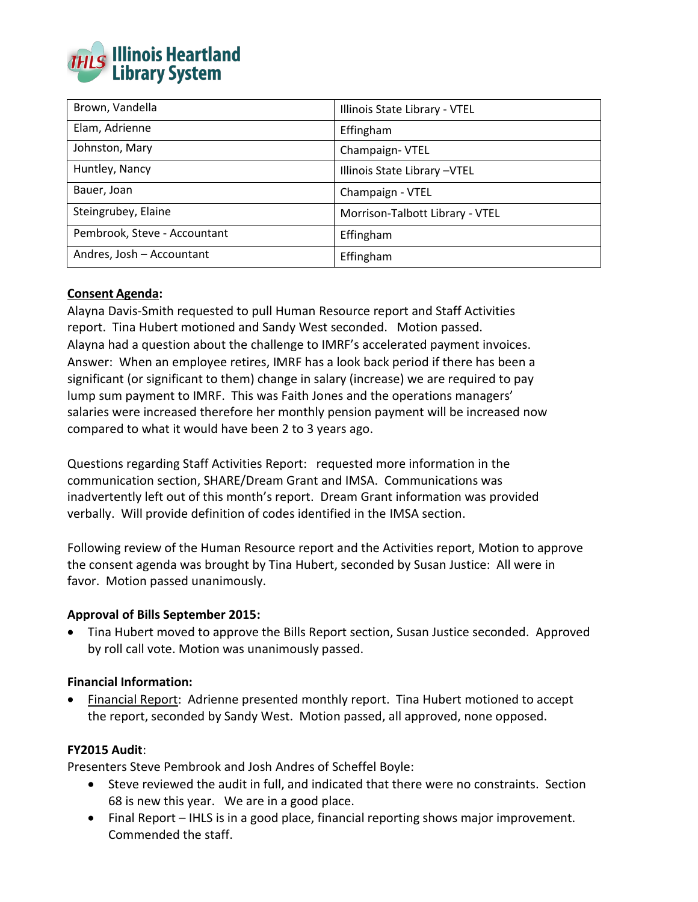

| Brown, Vandella              | Illinois State Library - VTEL   |
|------------------------------|---------------------------------|
| Elam, Adrienne               | Effingham                       |
| Johnston, Mary               | Champaign-VTEL                  |
| Huntley, Nancy               | Illinois State Library - VTEL   |
| Bauer, Joan                  | Champaign - VTEL                |
| Steingrubey, Elaine          | Morrison-Talbott Library - VTEL |
| Pembrook, Steve - Accountant | Effingham                       |
| Andres, Josh - Accountant    | Effingham                       |

# **Consent Agenda:**

Alayna Davis-Smith requested to pull Human Resource report and Staff Activities report. Tina Hubert motioned and Sandy West seconded. Motion passed. Alayna had a question about the challenge to IMRF's accelerated payment invoices. Answer: When an employee retires, IMRF has a look back period if there has been a significant (or significant to them) change in salary (increase) we are required to pay lump sum payment to IMRF. This was Faith Jones and the operations managers' salaries were increased therefore her monthly pension payment will be increased now compared to what it would have been 2 to 3 years ago.

Questions regarding Staff Activities Report: requested more information in the communication section, SHARE/Dream Grant and IMSA. Communications was inadvertently left out of this month's report. Dream Grant information was provided verbally. Will provide definition of codes identified in the IMSA section.

Following review of the Human Resource report and the Activities report, Motion to approve the consent agenda was brought by Tina Hubert, seconded by Susan Justice: All were in favor. Motion passed unanimously.

## **Approval of Bills September 2015:**

 Tina Hubert moved to approve the Bills Report section, Susan Justice seconded. Approved by roll call vote. Motion was unanimously passed.

## **Financial Information:**

 Financial Report: Adrienne presented monthly report. Tina Hubert motioned to accept the report, seconded by Sandy West. Motion passed, all approved, none opposed.

## **FY2015 Audit**:

Presenters Steve Pembrook and Josh Andres of Scheffel Boyle:

- Steve reviewed the audit in full, and indicated that there were no constraints. Section 68 is new this year. We are in a good place.
- Final Report IHLS is in a good place, financial reporting shows major improvement. Commended the staff.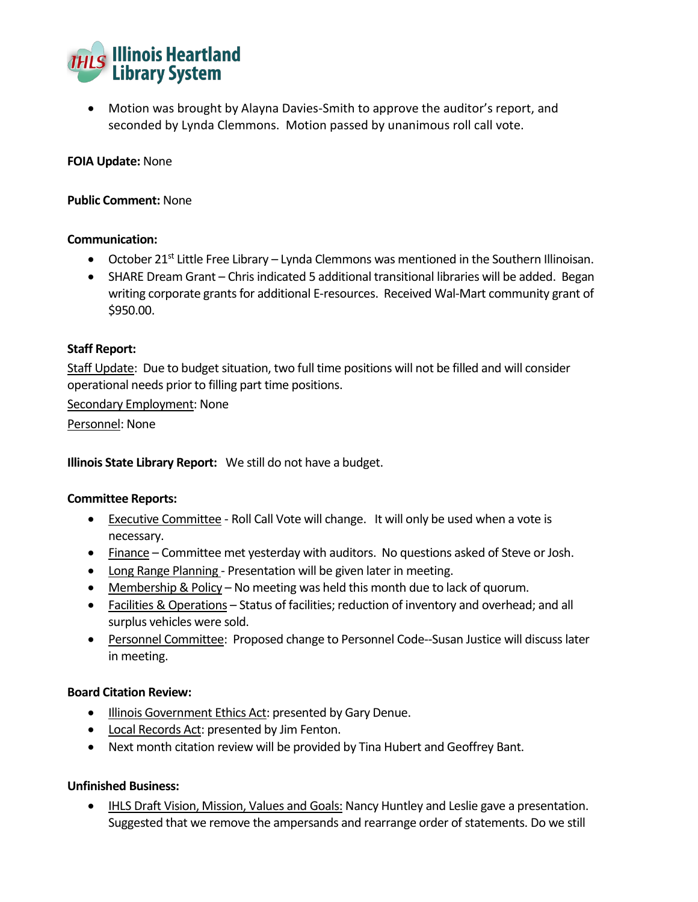

 Motion was brought by Alayna Davies-Smith to approve the auditor's report, and seconded by Lynda Clemmons. Motion passed by unanimous roll call vote.

### **FOIA Update:** None

### **Public Comment:** None

#### **Communication:**

- October 21<sup>st</sup> Little Free Library Lynda Clemmons was mentioned in the Southern Illinoisan.
- SHARE Dream Grant Chris indicated 5 additional transitional libraries will be added. Began writing corporate grants for additional E-resources. Received Wal-Mart community grant of \$950.00.

#### **Staff Report:**

Staff Update: Due to budget situation, two full time positions will not be filled and will consider operational needs prior to filling part time positions.

Secondary Employment: None

Personnel: None

**Illinois State Library Report:** We still do not have a budget.

## **Committee Reports:**

- Executive Committee Roll Call Vote will change. It will only be used when a vote is necessary.
- Finance Committee met yesterday with auditors. No questions asked of Steve or Josh.
- Long Range Planning Presentation will be given later in meeting.
- Membership & Policy No meeting was held this month due to lack of quorum.
- Facilities & Operations Status of facilities; reduction of inventory and overhead; and all surplus vehicles were sold.
- Personnel Committee: Proposed change to Personnel Code--Susan Justice will discuss later in meeting.

#### **Board Citation Review:**

- **Illinois Government Ethics Act: presented by Gary Denue.**
- Local Records Act: presented by Jim Fenton.
- Next month citation review will be provided by Tina Hubert and Geoffrey Bant.

## **Unfinished Business:**

**IHLS Draft Vision, Mission, Values and Goals: Nancy Huntley and Leslie gave a presentation.** Suggested that we remove the ampersands and rearrange order of statements. Do we still